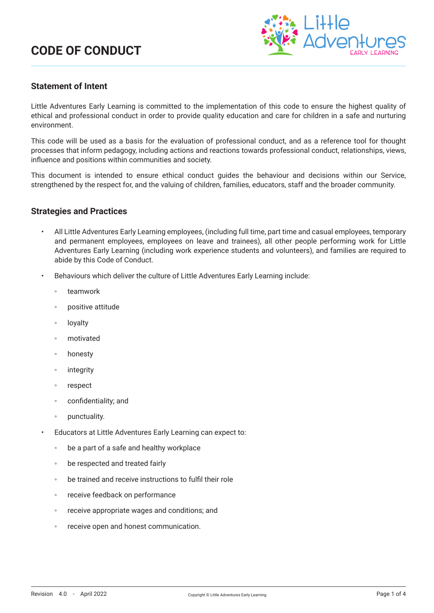

## **Statement of Intent**

Little Adventures Early Learning is committed to the implementation of this code to ensure the highest quality of ethical and professional conduct in order to provide quality education and care for children in a safe and nurturing environment.

This code will be used as a basis for the evaluation of professional conduct, and as a reference tool for thought processes that inform pedagogy, including actions and reactions towards professional conduct, relationships, views, influence and positions within communities and society.

This document is intended to ensure ethical conduct guides the behaviour and decisions within our Service, strengthened by the respect for, and the valuing of children, families, educators, staff and the broader community.

### **Strategies and Practices**

- All Little Adventures Early Learning employees, (including full time, part time and casual employees, temporary and permanent employees, employees on leave and trainees), all other people performing work for Little Adventures Early Learning (including work experience students and volunteers), and families are required to abide by this Code of Conduct.
- Behaviours which deliver the culture of Little Adventures Early Learning include:
	- teamwork
	- positive attitude
	- loyalty
	- motivated
	- honesty
	- integrity
	- respect
	- confidentiality; and
	- punctuality.
- Educators at Little Adventures Early Learning can expect to:
	- be a part of a safe and healthy workplace
	- be respected and treated fairly
	- be trained and receive instructions to fulfil their role
	- receive feedback on performance
	- receive appropriate wages and conditions; and
	- receive open and honest communication.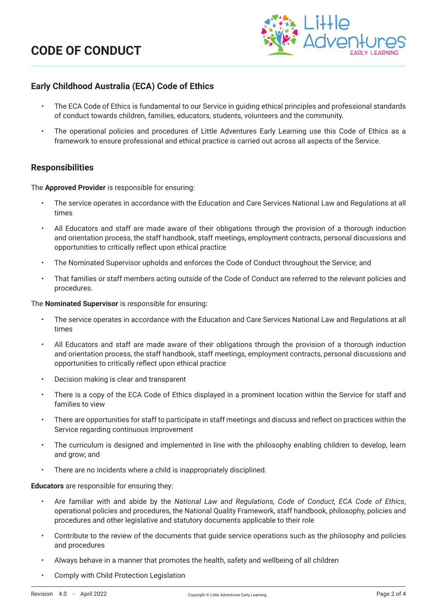

# **Early Childhood Australia (ECA) Code of Ethics**

- The ECA Code of Ethics is fundamental to our Service in guiding ethical principles and professional standards of conduct towards children, families, educators, students, volunteers and the community.
- The operational policies and procedures of Little Adventures Early Learning use this Code of Ethics as a framework to ensure professional and ethical practice is carried out across all aspects of the Service.

### **Responsibilities**

The **Approved Provider** is responsible for ensuring:

- The service operates in accordance with the Education and Care Services National Law and Regulations at all times
- All Educators and staff are made aware of their obligations through the provision of a thorough induction and orientation process, the staff handbook, staff meetings, employment contracts, personal discussions and opportunities to critically reflect upon ethical practice
- The Nominated Supervisor upholds and enforces the Code of Conduct throughout the Service; and
- That families or staff members acting outside of the Code of Conduct are referred to the relevant policies and procedures.

The **Nominated Supervisor** is responsible for ensuring:

- The service operates in accordance with the Education and Care Services National Law and Regulations at all times
- All Educators and staff are made aware of their obligations through the provision of a thorough induction and orientation process, the staff handbook, staff meetings, employment contracts, personal discussions and opportunities to critically reflect upon ethical practice
- Decision making is clear and transparent
- There is a copy of the ECA Code of Ethics displayed in a prominent location within the Service for staff and families to view
- There are opportunities for staff to participate in staff meetings and discuss and reflect on practices within the Service regarding continuous improvement
- The curriculum is designed and implemented in line with the philosophy enabling children to develop, learn and grow; and
- There are no incidents where a child is inappropriately disciplined.

#### **Educators** are responsible for ensuring they:

- Are familiar with and abide by the *National Law and Regulations, Code of Conduct, ECA Code of Ethics*, operational policies and procedures, the National Quality Framework, staff handbook, philosophy, policies and procedures and other legislative and statutory documents applicable to their role
- Contribute to the review of the documents that guide service operations such as the philosophy and policies and procedures
- Always behave in a manner that promotes the health, safety and wellbeing of all children
- Comply with Child Protection Legislation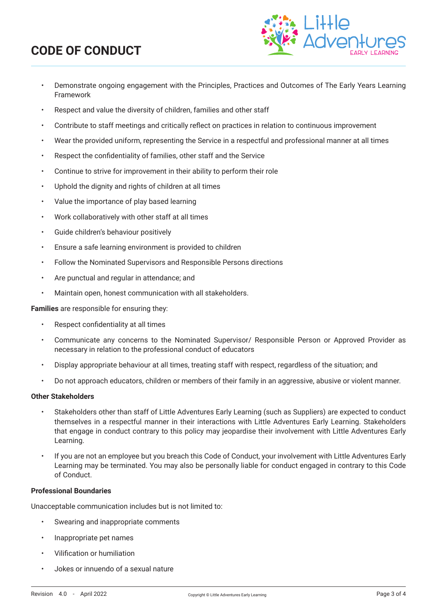

- Demonstrate ongoing engagement with the Principles, Practices and Outcomes of The Early Years Learning Framework
- Respect and value the diversity of children, families and other staff
- Contribute to staff meetings and critically reflect on practices in relation to continuous improvement
- Wear the provided uniform, representing the Service in a respectful and professional manner at all times
- Respect the confidentiality of families, other staff and the Service
- Continue to strive for improvement in their ability to perform their role
- Uphold the dignity and rights of children at all times
- Value the importance of play based learning
- Work collaboratively with other staff at all times
- Guide children's behaviour positively
- Ensure a safe learning environment is provided to children
- Follow the Nominated Supervisors and Responsible Persons directions
- Are punctual and regular in attendance; and
- Maintain open, honest communication with all stakeholders.

**Families** are responsible for ensuring they:

- Respect confidentiality at all times
- Communicate any concerns to the Nominated Supervisor/ Responsible Person or Approved Provider as necessary in relation to the professional conduct of educators
- Display appropriate behaviour at all times, treating staff with respect, regardless of the situation; and
- Do not approach educators, children or members of their family in an aggressive, abusive or violent manner.

#### **Other Stakeholders**

- Stakeholders other than staff of Little Adventures Early Learning (such as Suppliers) are expected to conduct themselves in a respectful manner in their interactions with Little Adventures Early Learning. Stakeholders that engage in conduct contrary to this policy may jeopardise their involvement with Little Adventures Early Learning.
- If you are not an employee but you breach this Code of Conduct, your involvement with Little Adventures Early Learning may be terminated. You may also be personally liable for conduct engaged in contrary to this Code of Conduct.

#### **Professional Boundaries**

Unacceptable communication includes but is not limited to:

- Swearing and inappropriate comments
- Inappropriate pet names
- Vilification or humiliation
- Jokes or innuendo of a sexual nature